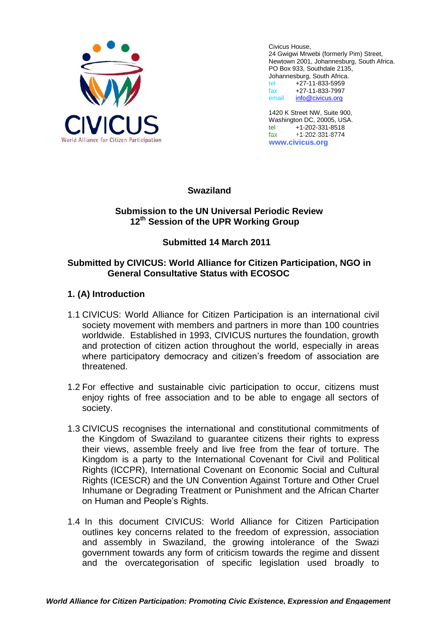

Civicus House, 24 Gwigwi Mrwebi (formerly Pim) Street, Newtown 2001, Johannesburg, South Africa. PO Box 933, Southdale 2135, Johannesburg, South Africa. tel +27-11-833-5959 fax +27-11-833-7997 email [info@civicus.org](mailto:info@civicus.org)

1420 K Street NW, Suite 900, Washington DC, 20005, USA.<br>tel +1-202-331-8518 tel +1-202-331-8518<br>fax +1-202-331-8774 fax +1-202-331-8774 **www.civicus.org**

### **Swaziland**

### **Submission to the UN Universal Periodic Review 12th Session of the UPR Working Group**

# **Submitted 14 March 2011**

### **Submitted by CIVICUS: World Alliance for Citizen Participation, NGO in General Consultative Status with ECOSOC**

# **1. (A) Introduction**

- 1.1 CIVICUS: World Alliance for Citizen Participation is an international civil society movement with members and partners in more than 100 countries worldwide. Established in 1993, CIVICUS nurtures the foundation, growth and protection of citizen action throughout the world, especially in areas where participatory democracy and citizen's freedom of association are threatened.
- 1.2 For effective and sustainable civic participation to occur, citizens must enjoy rights of free association and to be able to engage all sectors of society.
- 1.3 CIVICUS recognises the international and constitutional commitments of the Kingdom of Swaziland to guarantee citizens their rights to express their views, assemble freely and live free from the fear of torture. The Kingdom is a party to the International Covenant for Civil and Political Rights (ICCPR), International Covenant on Economic Social and Cultural Rights (ICESCR) and the UN Convention Against Torture and Other Cruel Inhumane or Degrading Treatment or Punishment and the African Charter on Human and People's Rights.
- 1.4 In this document CIVICUS: World Alliance for Citizen Participation outlines key concerns related to the freedom of expression, association and assembly in Swaziland, the growing intolerance of the Swazi government towards any form of criticism towards the regime and dissent and the overcategorisation of specific legislation used broadly to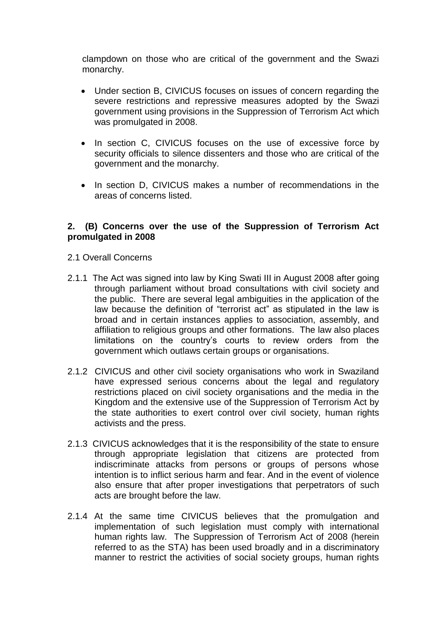clampdown on those who are critical of the government and the Swazi monarchy.

- Under section B, CIVICUS focuses on issues of concern regarding the severe restrictions and repressive measures adopted by the Swazi government using provisions in the Suppression of Terrorism Act which was promulgated in 2008.
- In section C, CIVICUS focuses on the use of excessive force by security officials to silence dissenters and those who are critical of the government and the monarchy.
- In section D, CIVICUS makes a number of recommendations in the areas of concerns listed.

### **2. (B) Concerns over the use of the Suppression of Terrorism Act promulgated in 2008**

- 2.1 Overall Concerns
- 2.1.1 The Act was signed into law by King Swati III in August 2008 after going through parliament without broad consultations with civil society and the public. There are several legal ambiguities in the application of the law because the definition of "terrorist act" as stipulated in the law is broad and in certain instances applies to association, assembly, and affiliation to religious groups and other formations. The law also places limitations on the country's courts to review orders from the government which outlaws certain groups or organisations.
- 2.1.2 CIVICUS and other civil society organisations who work in Swaziland have expressed serious concerns about the legal and regulatory restrictions placed on civil society organisations and the media in the Kingdom and the extensive use of the Suppression of Terrorism Act by the state authorities to exert control over civil society, human rights activists and the press.
- 2.1.3 CIVICUS acknowledges that it is the responsibility of the state to ensure through appropriate legislation that citizens are protected from indiscriminate attacks from persons or groups of persons whose intention is to inflict serious harm and fear. And in the event of violence also ensure that after proper investigations that perpetrators of such acts are brought before the law.
- 2.1.4 At the same time CIVICUS believes that the promulgation and implementation of such legislation must comply with international human rights law. The Suppression of Terrorism Act of 2008 (herein referred to as the STA) has been used broadly and in a discriminatory manner to restrict the activities of social society groups, human rights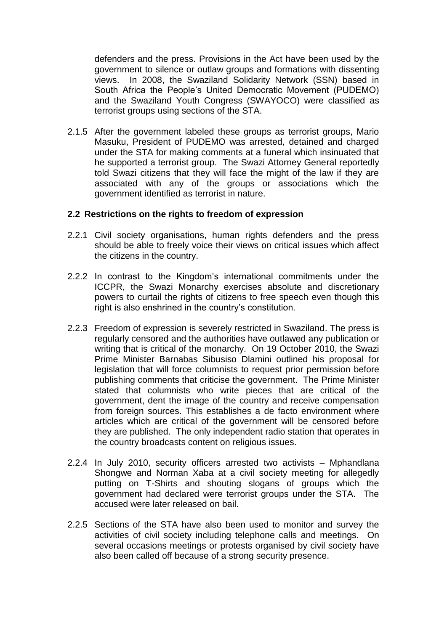defenders and the press. Provisions in the Act have been used by the government to silence or outlaw groups and formations with dissenting views. In 2008, the Swaziland Solidarity Network (SSN) based in South Africa the People's United Democratic Movement (PUDEMO) and the Swaziland Youth Congress (SWAYOCO) were classified as terrorist groups using sections of the STA.

2.1.5 After the government labeled these groups as terrorist groups, Mario Masuku, President of PUDEMO was arrested, detained and charged under the STA for making comments at a funeral which insinuated that he supported a terrorist group. The Swazi Attorney General reportedly told Swazi citizens that they will face the might of the law if they are associated with any of the groups or associations which the government identified as terrorist in nature.

#### **2.2 Restrictions on the rights to freedom of expression**

- 2.2.1 Civil society organisations, human rights defenders and the press should be able to freely voice their views on critical issues which affect the citizens in the country.
- 2.2.2 In contrast to the Kingdom's international commitments under the ICCPR, the Swazi Monarchy exercises absolute and discretionary powers to curtail the rights of citizens to free speech even though this right is also enshrined in the country's constitution.
- 2.2.3 Freedom of expression is severely restricted in Swaziland. The press is regularly censored and the authorities have outlawed any publication or writing that is critical of the monarchy. On 19 October 2010, the Swazi Prime Minister Barnabas Sibusiso Dlamini outlined his proposal for legislation that will force columnists to request prior permission before publishing comments that criticise the government. The Prime Minister stated that columnists who write pieces that are critical of the government, dent the image of the country and receive compensation from foreign sources. This establishes a de facto environment where articles which are critical of the government will be censored before they are published. The only independent radio station that operates in the country broadcasts content on religious issues.
- 2.2.4 In July 2010, security officers arrested two activists Mphandlana Shongwe and Norman Xaba at a civil society meeting for allegedly putting on T-Shirts and shouting slogans of groups which the government had declared were terrorist groups under the STA. The accused were later released on bail.
- 2.2.5 Sections of the STA have also been used to monitor and survey the activities of civil society including telephone calls and meetings. On several occasions meetings or protests organised by civil society have also been called off because of a strong security presence.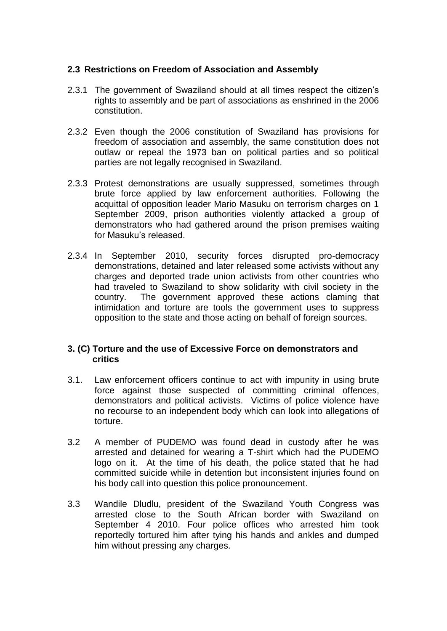### **2.3 Restrictions on Freedom of Association and Assembly**

- 2.3.1 The government of Swaziland should at all times respect the citizen's rights to assembly and be part of associations as enshrined in the 2006 constitution.
- 2.3.2 Even though the 2006 constitution of Swaziland has provisions for freedom of association and assembly, the same constitution does not outlaw or repeal the 1973 ban on political parties and so political parties are not legally recognised in Swaziland.
- 2.3.3 Protest demonstrations are usually suppressed, sometimes through brute force applied by law enforcement authorities. Following the acquittal of opposition leader Mario Masuku on terrorism charges on 1 September 2009, prison authorities violently attacked a group of demonstrators who had gathered around the prison premises waiting for Masuku's released.
- 2.3.4 In September 2010, security forces disrupted pro-democracy demonstrations, detained and later released some activists without any charges and deported trade union activists from other countries who had traveled to Swaziland to show solidarity with civil society in the country. The government approved these actions claming that intimidation and torture are tools the government uses to suppress opposition to the state and those acting on behalf of foreign sources.

### **3. (C) Torture and the use of Excessive Force on demonstrators and critics**

- 3.1. Law enforcement officers continue to act with impunity in using brute force against those suspected of committing criminal offences, demonstrators and political activists. Victims of police violence have no recourse to an independent body which can look into allegations of torture.
- 3.2 A member of PUDEMO was found dead in custody after he was arrested and detained for wearing a T-shirt which had the PUDEMO logo on it. At the time of his death, the police stated that he had committed suicide while in detention but inconsistent injuries found on his body call into question this police pronouncement.
- 3.3 Wandile Dludlu, president of the Swaziland Youth Congress was arrested close to the South African border with Swaziland on September 4 2010. Four police offices who arrested him took reportedly tortured him after tying his hands and ankles and dumped him without pressing any charges.